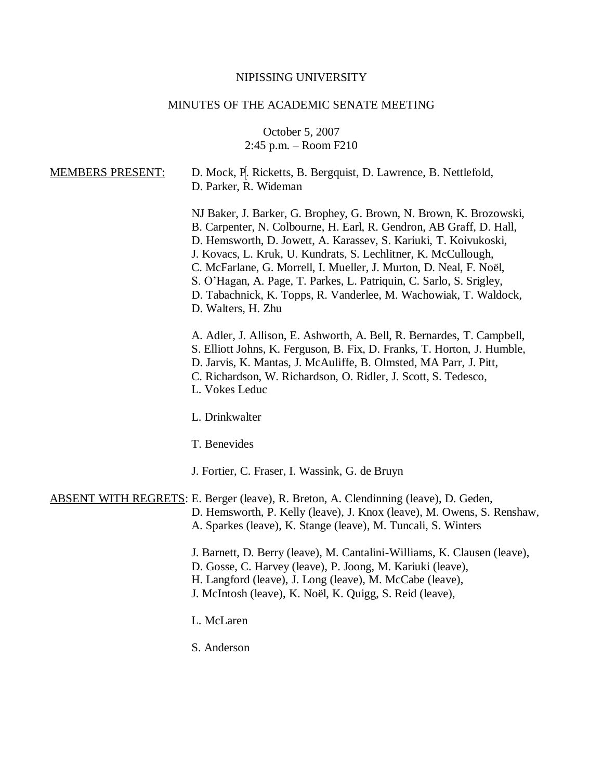# NIPISSING UNIVERSITY

# MINUTES OF THE ACADEMIC SENATE MEETING

October 5, 2007 2:45 p.m. – Room F210

| <b>MEMBERS PRESENT:</b> | D. Mock, P. Ricketts, B. Bergquist, D. Lawrence, B. Nettlefold,<br>D. Parker, R. Wideman                                                                                                                                                                                                                                                                                                                                                                                                                               |
|-------------------------|------------------------------------------------------------------------------------------------------------------------------------------------------------------------------------------------------------------------------------------------------------------------------------------------------------------------------------------------------------------------------------------------------------------------------------------------------------------------------------------------------------------------|
|                         | NJ Baker, J. Barker, G. Brophey, G. Brown, N. Brown, K. Brozowski,<br>B. Carpenter, N. Colbourne, H. Earl, R. Gendron, AB Graff, D. Hall,<br>D. Hemsworth, D. Jowett, A. Karassev, S. Kariuki, T. Koivukoski,<br>J. Kovacs, L. Kruk, U. Kundrats, S. Lechlitner, K. McCullough,<br>C. McFarlane, G. Morrell, I. Mueller, J. Murton, D. Neal, F. Noël,<br>S. O'Hagan, A. Page, T. Parkes, L. Patriquin, C. Sarlo, S. Srigley,<br>D. Tabachnick, K. Topps, R. Vanderlee, M. Wachowiak, T. Waldock,<br>D. Walters, H. Zhu |
|                         | A. Adler, J. Allison, E. Ashworth, A. Bell, R. Bernardes, T. Campbell,<br>S. Elliott Johns, K. Ferguson, B. Fix, D. Franks, T. Horton, J. Humble,<br>D. Jarvis, K. Mantas, J. McAuliffe, B. Olmsted, MA Parr, J. Pitt,<br>C. Richardson, W. Richardson, O. Ridler, J. Scott, S. Tedesco,<br>L. Vokes Leduc                                                                                                                                                                                                             |
|                         | L. Drinkwalter                                                                                                                                                                                                                                                                                                                                                                                                                                                                                                         |
|                         | T. Benevides                                                                                                                                                                                                                                                                                                                                                                                                                                                                                                           |
|                         | J. Fortier, C. Fraser, I. Wassink, G. de Bruyn                                                                                                                                                                                                                                                                                                                                                                                                                                                                         |
|                         | ABSENT WITH REGRETS: E. Berger (leave), R. Breton, A. Clendinning (leave), D. Geden,<br>D. Hemsworth, P. Kelly (leave), J. Knox (leave), M. Owens, S. Renshaw,<br>A. Sparkes (leave), K. Stange (leave), M. Tuncali, S. Winters                                                                                                                                                                                                                                                                                        |
|                         | J. Barnett, D. Berry (leave), M. Cantalini-Williams, K. Clausen (leave),<br>D. Gosse, C. Harvey (leave), P. Joong, M. Kariuki (leave),<br>H. Langford (leave), J. Long (leave), M. McCabe (leave),<br>J. McIntosh (leave), K. Noël, K. Quigg, S. Reid (leave),                                                                                                                                                                                                                                                         |
|                         | L. McLaren                                                                                                                                                                                                                                                                                                                                                                                                                                                                                                             |
|                         | S. Anderson                                                                                                                                                                                                                                                                                                                                                                                                                                                                                                            |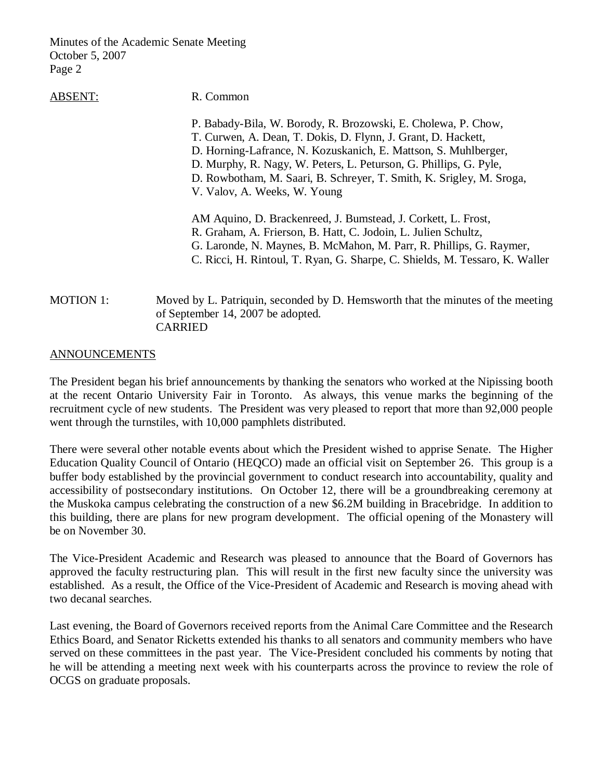## ABSENT: R. Common

P. Babady-Bila, W. Borody, R. Brozowski, E. Cholewa, P. Chow, T. Curwen, A. Dean, T. Dokis, D. Flynn, J. Grant, D. Hackett, D. Horning-Lafrance, N. Kozuskanich, E. Mattson, S. Muhlberger, D. Murphy, R. Nagy, W. Peters, L. Peturson, G. Phillips, G. Pyle, D. Rowbotham, M. Saari, B. Schreyer, T. Smith, K. Srigley, M. Sroga, V. Valov, A. Weeks, W. Young AM Aquino, D. Brackenreed, J. Bumstead, J. Corkett, L. Frost, R. Graham, A. Frierson, B. Hatt, C. Jodoin, L. Julien Schultz, G. Laronde, N. Maynes, B. McMahon, M. Parr, R. Phillips, G. Raymer, C. Ricci, H. Rintoul, T. Ryan, G. Sharpe, C. Shields, M. Tessaro, K. Waller

# MOTION 1: Moved by L. Patriquin, seconded by D. Hemsworth that the minutes of the meeting of September 14, 2007 be adopted. CARRIED

## ANNOUNCEMENTS

The President began his brief announcements by thanking the senators who worked at the Nipissing booth at the recent Ontario University Fair in Toronto. As always, this venue marks the beginning of the recruitment cycle of new students. The President was very pleased to report that more than 92,000 people went through the turnstiles, with 10,000 pamphlets distributed.

There were several other notable events about which the President wished to apprise Senate. The Higher Education Quality Council of Ontario (HEQCO) made an official visit on September 26. This group is a buffer body established by the provincial government to conduct research into accountability, quality and accessibility of postsecondary institutions. On October 12, there will be a groundbreaking ceremony at the Muskoka campus celebrating the construction of a new \$6.2M building in Bracebridge. In addition to this building, there are plans for new program development. The official opening of the Monastery will be on November 30.

The Vice-President Academic and Research was pleased to announce that the Board of Governors has approved the faculty restructuring plan. This will result in the first new faculty since the university was established. As a result, the Office of the Vice-President of Academic and Research is moving ahead with two decanal searches.

Last evening, the Board of Governors received reports from the Animal Care Committee and the Research Ethics Board, and Senator Ricketts extended his thanks to all senators and community members who have served on these committees in the past year. The Vice-President concluded his comments by noting that he will be attending a meeting next week with his counterparts across the province to review the role of OCGS on graduate proposals.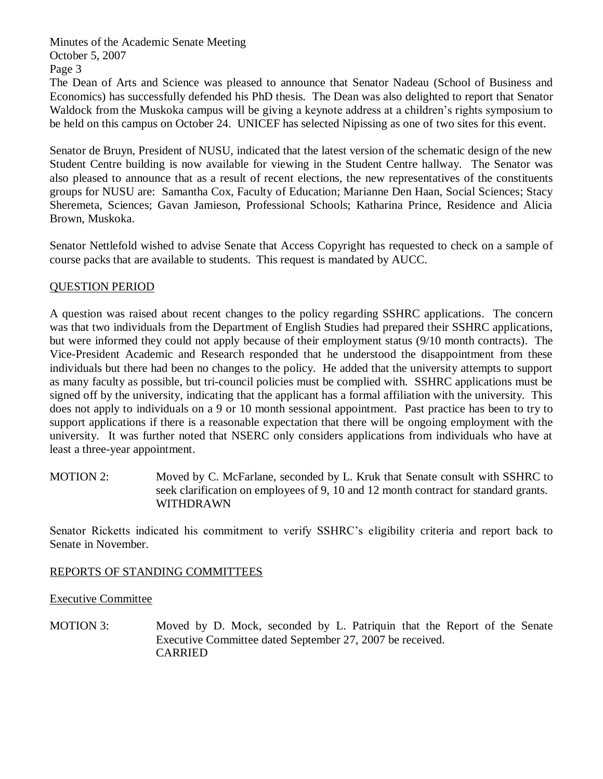The Dean of Arts and Science was pleased to announce that Senator Nadeau (School of Business and Economics) has successfully defended his PhD thesis. The Dean was also delighted to report that Senator Waldock from the Muskoka campus will be giving a keynote address at a children's rights symposium to be held on this campus on October 24. UNICEF has selected Nipissing as one of two sites for this event.

Senator de Bruyn, President of NUSU, indicated that the latest version of the schematic design of the new Student Centre building is now available for viewing in the Student Centre hallway. The Senator was also pleased to announce that as a result of recent elections, the new representatives of the constituents groups for NUSU are: Samantha Cox, Faculty of Education; Marianne Den Haan, Social Sciences; Stacy Sheremeta, Sciences; Gavan Jamieson, Professional Schools; Katharina Prince, Residence and Alicia Brown, Muskoka.

Senator Nettlefold wished to advise Senate that Access Copyright has requested to check on a sample of course packs that are available to students. This request is mandated by AUCC.

# QUESTION PERIOD

A question was raised about recent changes to the policy regarding SSHRC applications. The concern was that two individuals from the Department of English Studies had prepared their SSHRC applications, but were informed they could not apply because of their employment status (9/10 month contracts). The Vice-President Academic and Research responded that he understood the disappointment from these individuals but there had been no changes to the policy. He added that the university attempts to support as many faculty as possible, but tri-council policies must be complied with. SSHRC applications must be signed off by the university, indicating that the applicant has a formal affiliation with the university. This does not apply to individuals on a 9 or 10 month sessional appointment. Past practice has been to try to support applications if there is a reasonable expectation that there will be ongoing employment with the university. It was further noted that NSERC only considers applications from individuals who have at least a three-year appointment.

MOTION 2: Moved by C. McFarlane, seconded by L. Kruk that Senate consult with SSHRC to seek clarification on employees of 9, 10 and 12 month contract for standard grants. WITHDRAWN

Senator Ricketts indicated his commitment to verify SSHRC's eligibility criteria and report back to Senate in November.

# REPORTS OF STANDING COMMITTEES

Executive Committee

MOTION 3: Moved by D. Mock, seconded by L. Patriquin that the Report of the Senate Executive Committee dated September 27, 2007 be received. CARRIED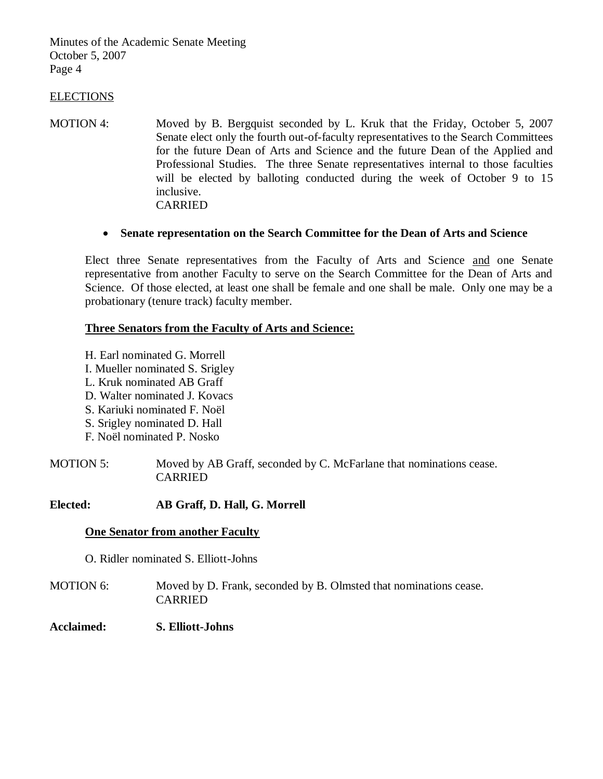## ELECTIONS

MOTION 4: Moved by B. Bergquist seconded by L. Kruk that the Friday, October 5, 2007 Senate elect only the fourth out-of-faculty representatives to the Search Committees for the future Dean of Arts and Science and the future Dean of the Applied and Professional Studies. The three Senate representatives internal to those faculties will be elected by balloting conducted during the week of October 9 to 15 inclusive. CARRIED

## **Senate representation on the Search Committee for the Dean of Arts and Science**

Elect three Senate representatives from the Faculty of Arts and Science and one Senate representative from another Faculty to serve on the Search Committee for the Dean of Arts and Science. Of those elected, at least one shall be female and one shall be male. Only one may be a probationary (tenure track) faculty member.

## **Three Senators from the Faculty of Arts and Science:**

H. Earl nominated G. Morrell

I. Mueller nominated S. Srigley

L. Kruk nominated AB Graff

D. Walter nominated J. Kovacs

S. Kariuki nominated F. Noël

S. Srigley nominated D. Hall

F. Noël nominated P. Nosko

MOTION 5: Moved by AB Graff, seconded by C. McFarlane that nominations cease. CARRIED

## **Elected: AB Graff, D. Hall, G. Morrell**

### **One Senator from another Faculty**

O. Ridler nominated S. Elliott-Johns

MOTION 6: Moved by D. Frank, seconded by B. Olmsted that nominations cease. CARRIED

## **Acclaimed: S. Elliott-Johns**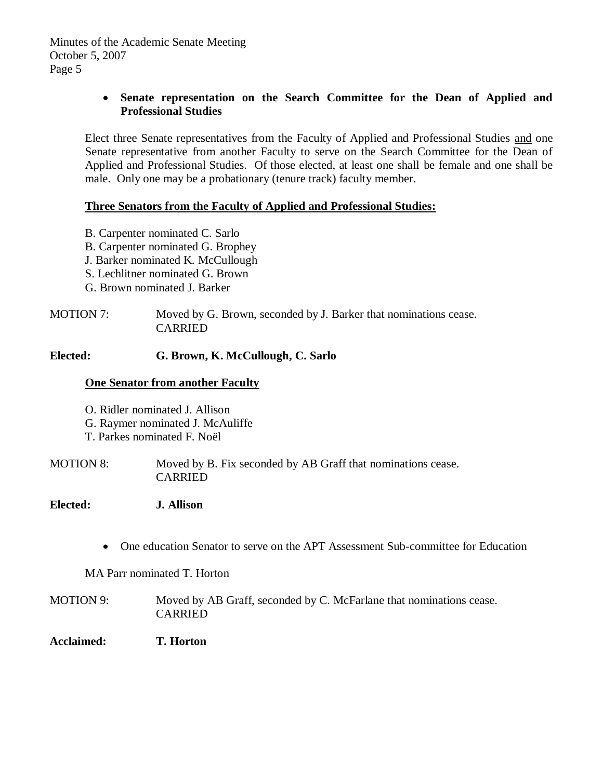# **Senate representation on the Search Committee for the Dean of Applied and Professional Studies**

Elect three Senate representatives from the Faculty of Applied and Professional Studies and one Senate representative from another Faculty to serve on the Search Committee for the Dean of Applied and Professional Studies. Of those elected, at least one shall be female and one shall be male. Only one may be a probationary (tenure track) faculty member.

## **Three Senators from the Faculty of Applied and Professional Studies:**

- B. Carpenter nominated C. Sarlo
- B. Carpenter nominated G. Brophey
- J. Barker nominated K. McCullough
- S. Lechlitner nominated G. Brown
- G. Brown nominated J. Barker

# MOTION 7: Moved by G. Brown, seconded by J. Barker that nominations cease. CARRIED

## **Elected: G. Brown, K. McCullough, C. Sarlo**

## **One Senator from another Faculty**

- O. Ridler nominated J. Allison
- G. Raymer nominated J. McAuliffe
- T. Parkes nominated F. Noël

MOTION 8: Moved by B. Fix seconded by AB Graff that nominations cease. CARRIED

## **Elected: J. Allison**

One education Senator to serve on the APT Assessment Sub-committee for Education

MA Parr nominated T. Horton

- MOTION 9: Moved by AB Graff, seconded by C. McFarlane that nominations cease. CARRIED
- **Acclaimed: T. Horton**